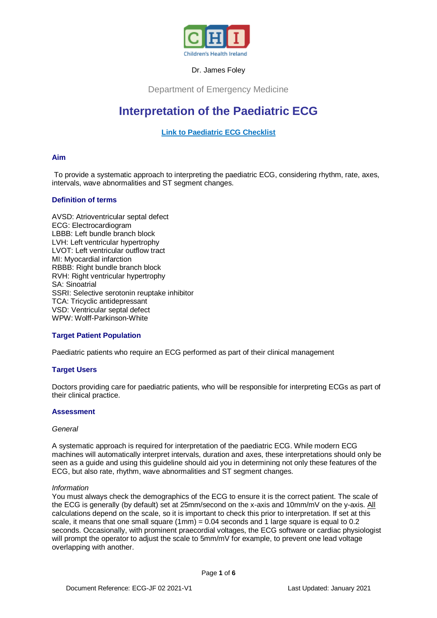

## Dr. James Foley

Department of Emergency Medicine

# **Interpretation of the Paediatric ECG**

## **[Link to Paediatric ECG Checklist](https://www.olchc.ie/Healthcare-Professionals/Clinical-Guidelines/Clinical-guidelines-Hyperlink-files/ECG-Checklist.pdf)**

## **Aim**

To provide a systematic approach to interpreting the paediatric ECG, considering rhythm, rate, axes, intervals, wave abnormalities and ST segment changes.

## **Definition of terms**

AVSD: Atrioventricular septal defect ECG: Electrocardiogram LBBB: Left bundle branch block LVH: Left ventricular hypertrophy LVOT: Left ventricular outflow tract MI: Myocardial infarction RBBB: Right bundle branch block RVH: Right ventricular hypertrophy SA: Sinoatrial SSRI: Selective serotonin reuptake inhibitor TCA: Tricyclic antidepressant VSD: Ventricular septal defect WPW: Wolff-Parkinson-White

## **Target Patient Population**

Paediatric patients who require an ECG performed as part of their clinical management

## **Target Users**

Doctors providing care for paediatric patients, who will be responsible for interpreting ECGs as part of their clinical practice.

### **Assessment**

### *General*

A systematic approach is required for interpretation of the paediatric ECG. While modern ECG machines will automatically interpret intervals, duration and axes, these interpretations should only be seen as a guide and using this guideline should aid you in determining not only these features of the ECG, but also rate, rhythm, wave abnormalities and ST segment changes.

#### *Information*

You must always check the demographics of the ECG to ensure it is the correct patient. The scale of the ECG is generally (by default) set at 25mm/second on the x-axis and 10mm/mV on the y-axis. All calculations depend on the scale, so it is important to check this prior to interpretation. If set at this scale, it means that one small square (1mm) = 0.04 seconds and 1 large square is equal to 0.2 seconds. Occasionally, with prominent praecordial voltages, the ECG software or cardiac physiologist will prompt the operator to adjust the scale to 5mm/mV for example, to prevent one lead voltage overlapping with another.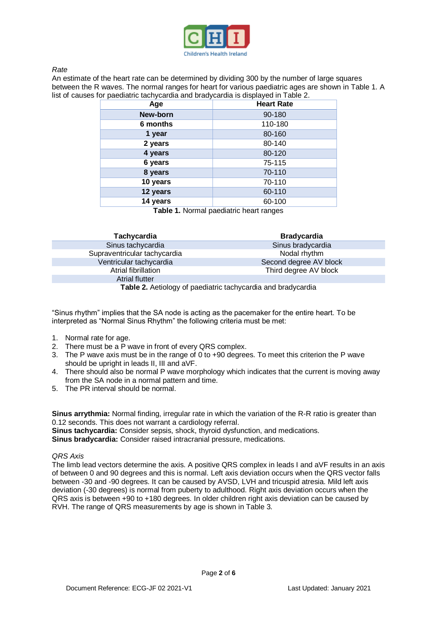

## *Rate*

An estimate of the heart rate can be determined by dividing 300 by the number of large squares between the R waves. The normal ranges for heart for various paediatric ages are shown in Table 1. A list of causes for paediatric tachycardia and bradycardia is displayed in Table 2.

| Age      | <b>Heart Rate</b> |
|----------|-------------------|
| New-born | 90-180            |
| 6 months | 110-180           |
| 1 year   | 80-160            |
| 2 years  | 80-140            |
| 4 years  | 80-120            |
| 6 years  | 75-115            |
| 8 years  | 70-110            |
| 10 years | 70-110            |
| 12 years | 60-110            |
| 14 years | 60-100            |

**Table 1.** Normal paediatric heart ranges

| <b>Tachycardia</b>                                           | <b>Bradycardia</b>     |  |  |  |
|--------------------------------------------------------------|------------------------|--|--|--|
| Sinus tachycardia                                            | Sinus bradycardia      |  |  |  |
| Supraventricular tachycardia                                 | Nodal rhythm           |  |  |  |
| Ventricular tachycardia                                      | Second degree AV block |  |  |  |
| Atrial fibrillation                                          | Third degree AV block  |  |  |  |
| <b>Atrial flutter</b>                                        |                        |  |  |  |
| Table 2. Aetiology of paediatric tachycardia and bradycardia |                        |  |  |  |

"Sinus rhythm" implies that the SA node is acting as the pacemaker for the entire heart. To be interpreted as "Normal Sinus Rhythm" the following criteria must be met:

- 1. Normal rate for age.
- 2. There must be a P wave in front of every QRS complex.
- 3. The P wave axis must be in the range of 0 to +90 degrees. To meet this criterion the P wave should be upright in leads II, III and aVF.
- 4. There should also be normal P wave morphology which indicates that the current is moving away from the SA node in a normal pattern and time.
- 5. The PR interval should be normal.

**Sinus arrythmia:** Normal finding, irregular rate in which the variation of the R-R ratio is greater than 0.12 seconds. This does not warrant a cardiology referral. **Sinus tachycardia:** Consider sepsis, shock, thyroid dysfunction, and medications.

**Sinus bradycardia:** Consider raised intracranial pressure, medications.

### *QRS Axis*

The limb lead vectors determine the axis. A positive QRS complex in leads I and aVF results in an axis of between 0 and 90 degrees and this is normal. Left axis deviation occurs when the QRS vector falls between -30 and -90 degrees. It can be caused by AVSD, LVH and tricuspid atresia. Mild left axis deviation (-30 degrees) is normal from puberty to adulthood. Right axis deviation occurs when the QRS axis is between +90 to +180 degrees. In older children right axis deviation can be caused by RVH. The range of QRS measurements by age is shown in Table 3.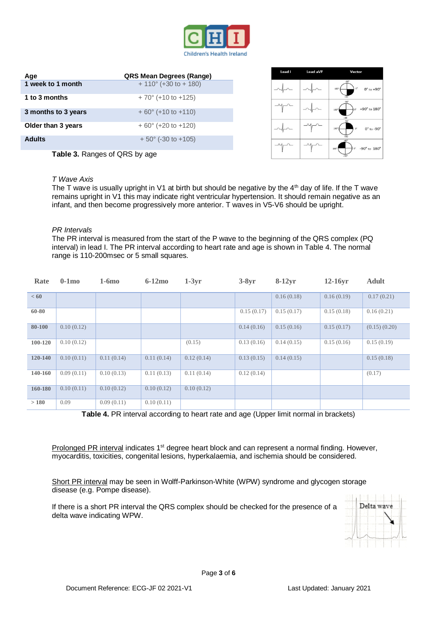

| Age                 | <b>QRS Mean Degrees (Range)</b> |
|---------------------|---------------------------------|
| 1 week to 1 month   | $+ 110^{\circ}$ (+30 to + 180)  |
| 1 to 3 months       | $+70^{\circ}$ (+10 to +125)     |
| 3 months to 3 years | $+60^{\circ}$ (+10 to +110)     |
| Older than 3 years  | $+60^{\circ}$ (+20 to +120)     |
| <b>Adults</b>       | $+50^{\circ}$ (-30 to +105)     |

| Lead I | <b>Lead aVF</b> | Vector                                                                                  |
|--------|-----------------|-----------------------------------------------------------------------------------------|
|        |                 | $-90$ <sup>*</sup><br>$0^{\circ}$<br>$180^{\circ}$<br>$0^\circ$ to $+90^\circ$<br>$+90$ |
|        |                 | $-90*$<br>+90 $^{\circ}$ to $180^{\circ}$<br>ö*<br>$180^{\circ}$<br>$+90$               |
|        |                 | $-90*$<br>180 <sup>o</sup><br>$\mathbb{O}^n$<br>$0^\circ$ to -90 $^\circ$<br>$+90$      |
|        |                 | $-90"$<br>-90° to 180°<br>$0^{\circ}$<br>$180^{\circ}$<br>$+90^{\circ}$                 |

**Table 3.** Ranges of QRS by age

#### *T Wave Axis*

The T wave is usually upright in V1 at birth but should be negative by the  $4<sup>th</sup>$  day of life. If the T wave remains upright in V1 this may indicate right ventricular hypertension. It should remain negative as an infant, and then become progressively more anterior. T waves in V5-V6 should be upright.

#### *PR Intervals*

The PR interval is measured from the start of the P wave to the beginning of the QRS complex (PQ interval) in lead I. The PR interval according to heart rate and age is shown in Table 4. The normal range is 110-200msec or 5 small squares.

| Rate    | $0-1mo$    | $1-6mo$    | $6-12\text{mo}$ | $1-3yr$    | $3-8yr$    | $8-12yr$   | $12-16vr$  | <b>Adult</b> |
|---------|------------|------------|-----------------|------------|------------|------------|------------|--------------|
| < 60    |            |            |                 |            |            | 0.16(0.18) | 0.16(0.19) | 0.17(0.21)   |
| 60-80   |            |            |                 |            | 0.15(0.17) | 0.15(0.17) | 0.15(0.18) | 0.16(0.21)   |
| 80-100  | 0.10(0.12) |            |                 |            | 0.14(0.16) | 0.15(0.16) | 0.15(0.17) | (0.15)(0.20) |
| 100-120 | 0.10(0.12) |            |                 | (0.15)     | 0.13(0.16) | 0.14(0.15) | 0.15(0.16) | 0.15(0.19)   |
| 120-140 | 0.10(0.11) | 0.11(0.14) | 0.11(0.14)      | 0.12(0.14) | 0.13(0.15) | 0.14(0.15) |            | 0.15(0.18)   |
| 140-160 | 0.09(0.11) | 0.10(0.13) | 0.11(0.13)      | 0.11(0.14) | 0.12(0.14) |            |            | (0.17)       |
| 160-180 | 0.10(0.11) | 0.10(0.12) | 0.10(0.12)      | 0.10(0.12) |            |            |            |              |
| >180    | 0.09       | 0.09(0.11) | 0.10(0.11)      |            |            |            |            |              |

**Table 4.** PR interval according to heart rate and age (Upper limit normal in brackets)

Prolonged PR interval indicates 1<sup>st</sup> degree heart block and can represent a normal finding. However, myocarditis, toxicities, congenital lesions, hyperkalaemia, and ischemia should be considered.

Short PR interval may be seen in Wolff-Parkinson-White (WPW) syndrome and glycogen storage disease (e.g. Pompe disease).

If there is a short PR interval the QRS complex should be checked for the presence of a delta wave indicating WPW.

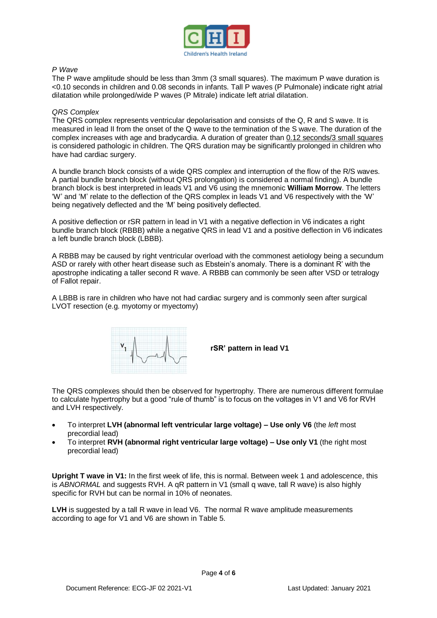

## *P Wave*

The P wave amplitude should be less than 3mm (3 small squares). The maximum P wave duration is <0.10 seconds in children and 0.08 seconds in infants. Tall P waves (P Pulmonale) indicate right atrial dilatation while prolonged/wide P waves (P Mitrale) indicate left atrial dilatation.

## *QRS Complex*

The QRS complex represents ventricular depolarisation and consists of the Q, R and S wave. It is measured in lead II from the onset of the Q wave to the termination of the S wave. The duration of the complex increases with age and bradycardia. A duration of greater than 0.12 seconds/3 small squares is considered pathologic in children. The QRS duration may be significantly prolonged in children who have had cardiac surgery.

A bundle branch block consists of a wide QRS complex and interruption of the flow of the R/S waves. A partial bundle branch block (without QRS prolongation) is considered a normal finding). A bundle branch block is best interpreted in leads V1 and V6 using the mnemonic **William Morrow**. The letters 'W' and 'M' relate to the deflection of the QRS complex in leads V1 and V6 respectively with the 'W' being negatively deflected and the 'M' being positively deflected.

A positive deflection or rSR pattern in lead in V1 with a negative deflection in V6 indicates a right bundle branch block (RBBB) while a negative QRS in lead V1 and a positive deflection in V6 indicates a left bundle branch block (LBBB).

A RBBB may be caused by right ventricular overload with the commonest aetiology being a secundum ASD or rarely with other heart disease such as Ebstein's anomaly. There is a dominant R' with the apostrophe indicating a taller second R wave. A RBBB can commonly be seen after VSD or tetralogy of Fallot repair.

A LBBB is rare in children who have not had cardiac surgery and is commonly seen after surgical LVOT resection (e.g. myotomy or myectomy)



**rSR' pattern in lead V1**

The QRS complexes should then be observed for hypertrophy. There are numerous different formulae to calculate hypertrophy but a good "rule of thumb" is to focus on the voltages in V1 and V6 for RVH and LVH respectively.

- To interpret **LVH (abnormal left ventricular large voltage) – Use only V6** (the *left* most precordial lead)
- To interpret **RVH (abnormal right ventricular large voltage) – Use only V1** (the right most precordial lead)

**Upright T wave in V1:** In the first week of life, this is normal. Between week 1 and adolescence, this is *ABNORMAL* and suggests RVH. A qR pattern in V1 (small q wave, tall R wave) is also highly specific for RVH but can be normal in 10% of neonates.

**LVH** is suggested by a tall R wave in lead V6. The normal R wave amplitude measurements according to age for V1 and V6 are shown in Table 5.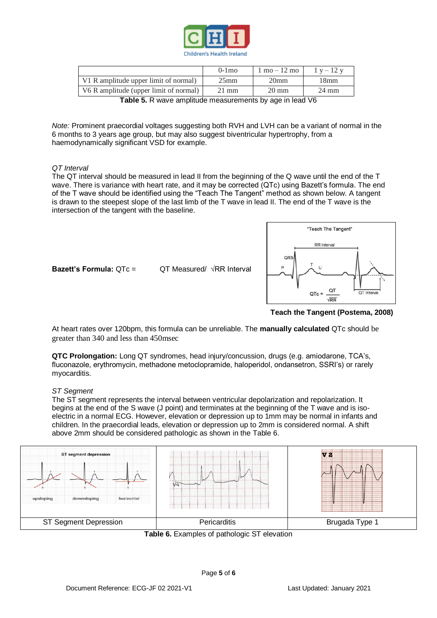

|                                                                                                                        | $0-1$ mo        | $1 \text{ mo} - 12 \text{ mo}$ | $1 v - 12 v$     |  |  |
|------------------------------------------------------------------------------------------------------------------------|-----------------|--------------------------------|------------------|--|--|
| V1 R amplitude upper limit of normal)                                                                                  | $25$ mm         | 20 <sub>mm</sub>               | 18 <sub>mm</sub> |  |  |
| V6 R amplitude (upper limit of normal)                                                                                 | $21 \text{ mm}$ | $20 \text{ mm}$                | $24 \text{ mm}$  |  |  |
| $\blacksquare$ . It is $\blacksquare$ . It is a consideration of a consequence of a local constant $\mathcal{U}\Omega$ |                 |                                |                  |  |  |

**Table 5.** R wave amplitude measurements by age in lead V6

*Note:* Prominent praecordial voltages suggesting both RVH and LVH can be a variant of normal in the 6 months to 3 years age group, but may also suggest biventricular hypertrophy, from a haemodynamically significant VSD for example.

## *QT Interval*

The QT interval should be measured in lead II from the beginning of the Q wave until the end of the T wave. There is variance with heart rate, and it may be corrected (QTc) using Bazett's formula. The end of the T wave should be identified using the "Teach The Tangent" method as shown below. A tangent is drawn to the steepest slope of the last limb of the T wave in lead II. The end of the T wave is the intersection of the tangent with the baseline.



**Teach the Tangent (Postema, 2008)**

At heart rates over 120bpm, this formula can be unreliable. The **manually calculated** QTc should be greater than 340 and less than 450msec

**Bazett's Formula:** QTc = QT Measured/ √RR Interval

**QTC Prolongation:** Long QT syndromes, head injury/concussion, drugs (e.g. amiodarone, TCA's, fluconazole, erythromycin, methadone metoclopramide, haloperidol, ondansetron, SSRI's) or rarely myocarditis.

### *ST Segment*

The ST segment represents the interval between ventricular depolarization and repolarization. It begins at the end of the S wave (J point) and terminates at the beginning of the T wave and is isoelectric in a normal ECG. However, elevation or depression up to 1mm may be normal in infants and children. In the praecordial leads, elevation or depression up to 2mm is considered normal. A shift above 2mm should be considered pathologic as shown in the Table 6.



**Table 6.** Examples of pathologic ST elevation